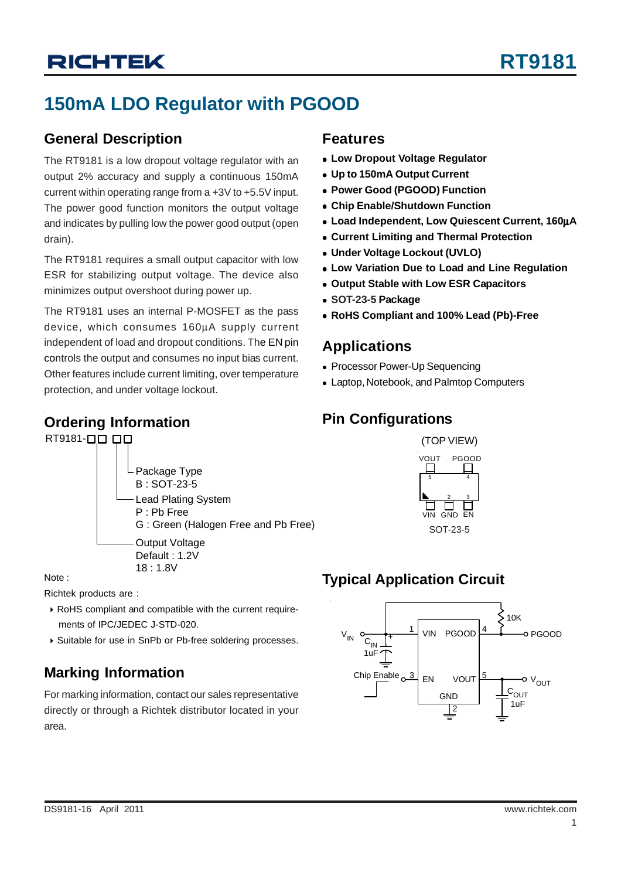# **150mA LDO Regulator with PGOOD**

### **General Description**

The RT9181 is a low dropout voltage regulator with an output 2% accuracy and supply a continuous 150mA current within operating range from a +3V to +5.5V input. The power good function monitors the output voltage and indicates by pulling low the power good output (open drain).

The RT9181 requires a small output capacitor with low ESR for stabilizing output voltage. The device also minimizes output overshoot during power up.

The RT9181 uses an internal P-MOSFET as the pass device, which consumes 160μA supply current independent of load and dropout conditions. The EN pin controls the output and consumes no input bias current. Other features include current limiting, over temperature protection, and under voltage lockout.

### **Ordering Information**

RT9181-00 00



Note :

Richtek products are :

- ` RoHS compliant and compatible with the current require ments of IPC/JEDEC J-STD-020.
- ` Suitable for use in SnPb or Pb-free soldering processes.

## **Marking Information**

For marking information, contact our sales representative directly or through a Richtek distributor located in your area.

### **Features**

- **Low Dropout Voltage Regulator**
- <sup>z</sup> **Up to 150mA Output Current**
- <sup>z</sup> **Power Good (PGOOD) Function**
- **Chip Enable/Shutdown Function**
- <sup>z</sup> **Load Independent, Low Quiescent Current, 160**μ**A**
- **Current Limiting and Thermal Protection**
- <sup>z</sup> **Under Voltage Lockout (UVLO)**
- **.** Low Variation Due to Load and Line Regulation
- <sup>z</sup> **Output Stable with Low ESR Capacitors**
- <sup>z</sup> **SOT-23-5 Package**
- <sup>z</sup> **RoHS Compliant and 100% Lead (Pb)-Free**

### **Applications**

- Processor Power-Up Sequencing
- Laptop, Notebook, and Palmtop Computers

## **Pin Configurations**



## **Typical Application Circuit**

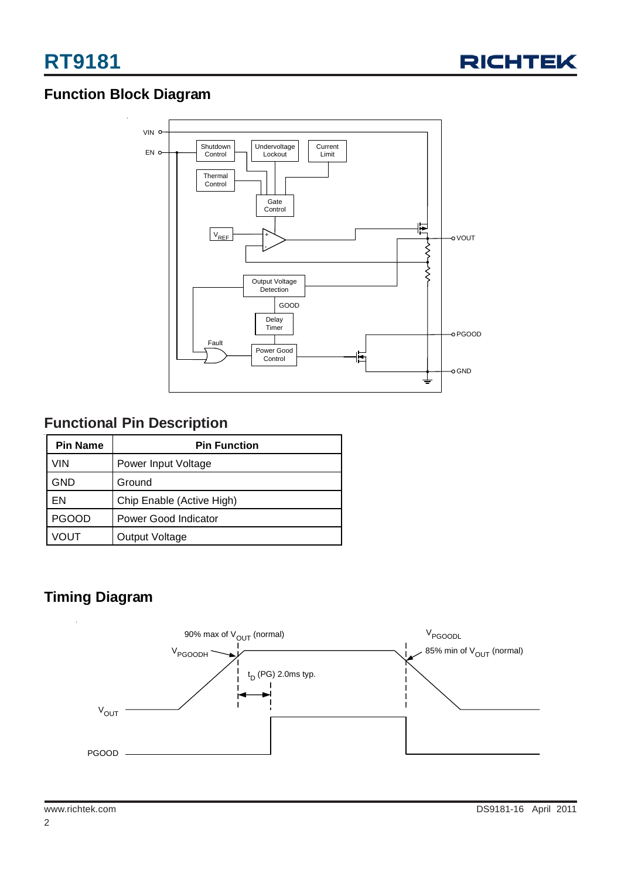

## **Function Block Diagram**



## **Functional Pin Description**

| <b>Pin Name</b> | <b>Pin Function</b>       |  |  |  |
|-----------------|---------------------------|--|--|--|
| VIN             | Power Input Voltage       |  |  |  |
| GND             | Ground                    |  |  |  |
| EN              | Chip Enable (Active High) |  |  |  |
| <b>PGOOD</b>    | Power Good Indicator      |  |  |  |
| VOUT            | Output Voltage            |  |  |  |

### **Timing Diagram**

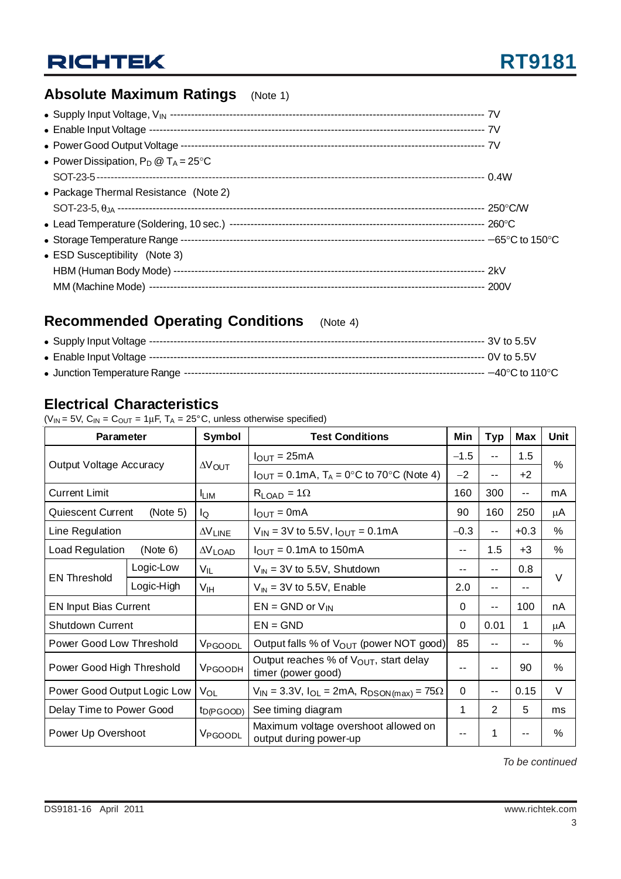## **Absolute Maximum Ratings** (Note 1)

| • Power Dissipation, $P_D @ T_A = 25^{\circ}C$ |  |
|------------------------------------------------|--|
|                                                |  |
| • Package Thermal Resistance (Note 2)          |  |
|                                                |  |
|                                                |  |
|                                                |  |
| • ESD Susceptibility (Note 3)                  |  |
|                                                |  |
|                                                |  |

## **Recommended Operating Conditions** (Note 4)

### **Electrical Characteristics**

( $V_{IN}$  = 5V,  $C_{IN}$  =  $C_{OUT}$  = 1 $\mu$ F, T<sub>A</sub> = 25°C, unless otherwise specified)

| <b>Parameter</b>                                                                                     |             | Symbol                   | <b>Test Conditions</b>                                                     |                          | Typ   | Max    | Unit   |  |
|------------------------------------------------------------------------------------------------------|-------------|--------------------------|----------------------------------------------------------------------------|--------------------------|-------|--------|--------|--|
|                                                                                                      |             |                          | $I_{\text{OUT}} = 25 \text{mA}$                                            |                          | $- -$ | 1.5    |        |  |
| Output Voltage Accuracy                                                                              |             | $\Delta V$ OUT           | $I_{\text{OUT}} = 0.1 \text{mA}, T_A = 0^{\circ}\text{C}$ to 70°C (Note 4) | $-2$                     | $- -$ | $+2$   | $\%$   |  |
| <b>Current Limit</b>                                                                                 |             | <b>LIM</b>               | $R_{\text{LOAD}} = 1\Omega$                                                | 160                      | 300   | $- -$  | mA     |  |
| Quiescent Current                                                                                    | (Note $5$ ) | lQ                       | $I_{OUT} = 0mA$                                                            | 90                       | 160   | 250    | μA     |  |
| Line Regulation                                                                                      |             | $\Delta V$ LINE          | $V_{IN}$ = 3V to 5.5V, $I_{OUT}$ = 0.1mA                                   | $-0.3$                   | $-$   | $+0.3$ | $\%$   |  |
| Load Regulation                                                                                      | (Note 6)    | $\Delta V_{\text{LOAD}}$ | $I_{\text{OUT}} = 0.1 \text{mA}$ to 150 mA                                 | $\overline{\phantom{a}}$ | 1.5   | $+3$   | $\%$   |  |
|                                                                                                      | Logic-Low   | V <sub>IL</sub>          | $V_{\text{IN}}$ = 3V to 5.5V, Shutdown                                     | --                       | $-$   | 0.8    | $\vee$ |  |
| <b>EN Threshold</b>                                                                                  | Logic-High  | V <sub>IH</sub>          | $V_{\text{IN}}$ = 3V to 5.5V, Enable                                       | 2.0                      | --    | --     |        |  |
| <b>EN Input Bias Current</b>                                                                         |             |                          | $EN = GND$ or $V_{IN}$                                                     | $\Omega$                 | --    | 100    | nA.    |  |
| <b>Shutdown Current</b>                                                                              |             |                          | $EN = GND$                                                                 | $\Omega$                 | 0.01  | 1      | μA     |  |
| Power Good Low Threshold                                                                             |             | V <sub>PGOODL</sub>      | Output falls % of V <sub>OUT</sub> (power NOT good)                        | 85                       | --    | $-$    | $\%$   |  |
| Power Good High Threshold                                                                            |             | V <sub>PGOODH</sub>      | Output reaches % of VOUT, start delay<br>timer (power good)                |                          |       | 90     | $\%$   |  |
| Power Good Output Logic Low<br>$V_{IN}$ = 3.3V, $I_{OL}$ = 2mA, $R_{DSON(max)}$ = 75 $\Omega$<br>VOL |             | 0                        | $- -$                                                                      | 0.15                     | V     |        |        |  |
| Delay Time to Power Good                                                                             |             | $t_{D(PGOOD)}$           | See timing diagram                                                         |                          | 2     | 5      | ms     |  |
| Power Up Overshoot                                                                                   |             | V <sub>PGOODL</sub>      | Maximum voltage overshoot allowed on<br>output during power-up             |                          | 1     | --     | %      |  |

*To be continued*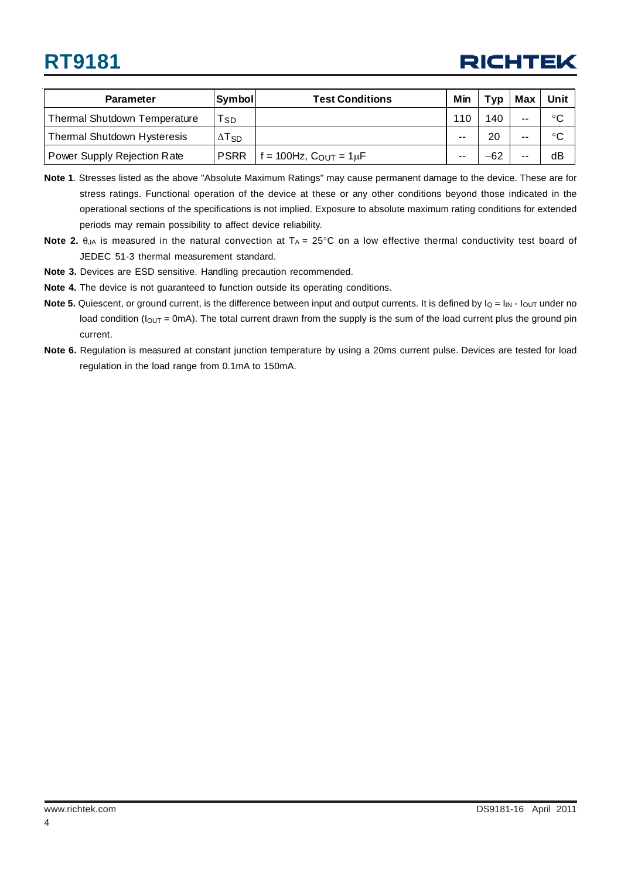# **RT9181**

# **RICHTEK**

| <b>Parameter</b>                    | Symbol                   | <b>Test Conditions</b>            | Min | Typ | <b>Max</b> | Unit |
|-------------------------------------|--------------------------|-----------------------------------|-----|-----|------------|------|
| <b>Thermal Shutdown Temperature</b> | Tsp                      |                                   | 110 | 140 | $- -$      | °C   |
| <b>Thermal Shutdown Hysteresis</b>  | $\Delta$ T <sub>SD</sub> |                                   | --  | 20  | $- -$      | °C   |
| Power Supply Rejection Rate         | <b>PSRR</b>              | $f = 100$ Hz, $C_{OUT} = 1 \mu F$ | --  | -62 | $-$        | dB   |

- **Note 1**. Stresses listed as the above "Absolute Maximum Ratings" may cause permanent damage to the device. These are for stress ratings. Functional operation of the device at these or any other conditions beyond those indicated in the operational sections of the specifications is not implied. Exposure to absolute maximum rating conditions for extended periods may remain possibility to affect device reliability.
- **Note 2.**  $\theta_{JA}$  is measured in the natural convection at  $T_A = 25^{\circ}C$  on a low effective thermal conductivity test board of JEDEC 51-3 thermal measurement standard.
- **Note 3.** Devices are ESD sensitive. Handling precaution recommended.
- **Note 4.** The device is not guaranteed to function outside its operating conditions.
- **Note 5.** Quiescent, or ground current, is the difference between input and output currents. It is defined by  $I_Q = I_{IN} I_{OUT}$  under no load condition ( $I_{\text{OUT}}$  = 0mA). The total current drawn from the supply is the sum of the load current plus the ground pin current.
- **Note 6.** Regulation is measured at constant junction temperature by using a 20ms current pulse. Devices are tested for load regulation in the load range from 0.1mA to 150mA.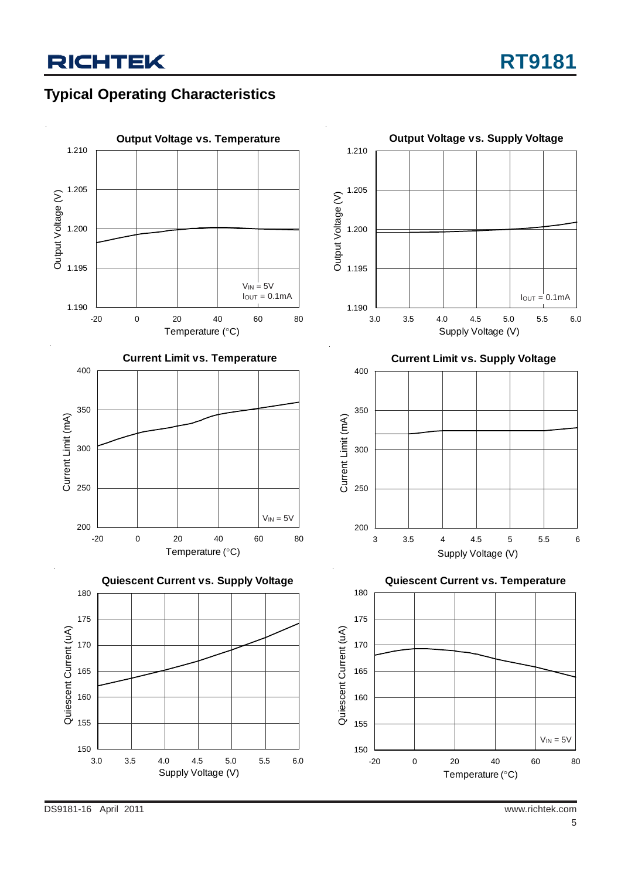# **Typical Operating Characteristics**

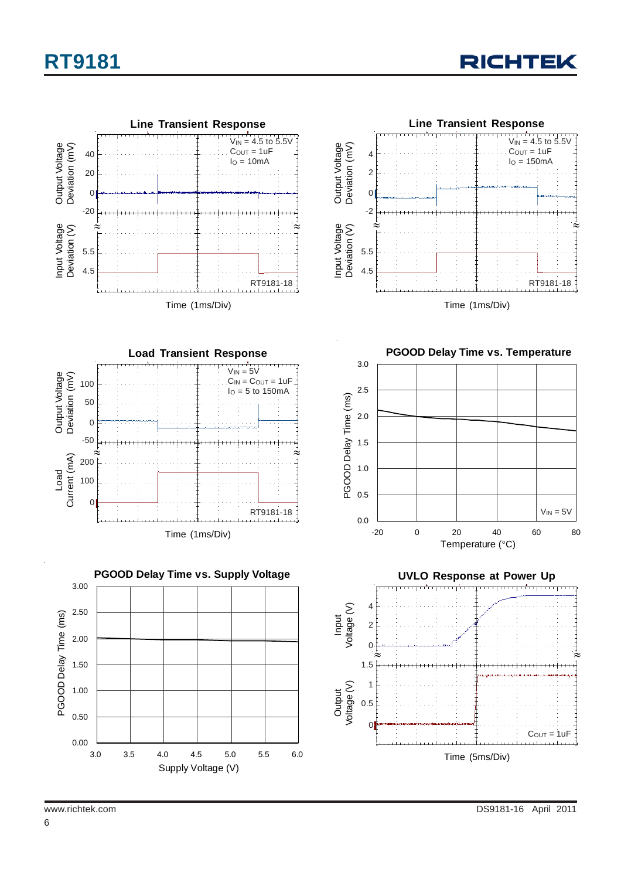













6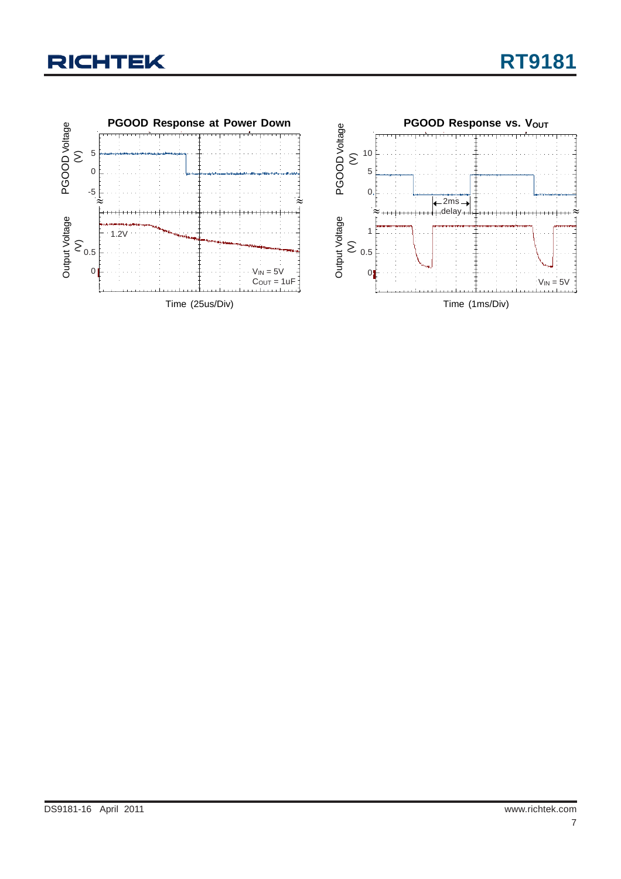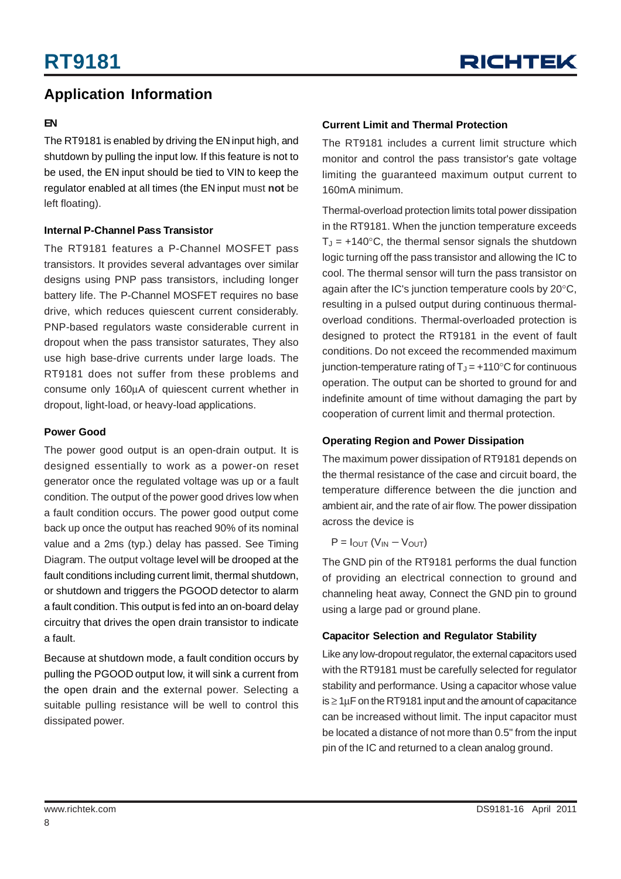### **Application Information**

#### **EN**

The RT9181 is enabled by driving the EN input high, and shutdown by pulling the input low. If this feature is not to be used, the EN input should be tied to VIN to keep the regulator enabled at all times (the EN input must **not** be left floating).

#### **Internal P-Channel Pass Transistor**

The RT9181 features a P-Channel MOSFET pass transistors. It provides several advantages over similar designs using PNP pass transistors, including longer battery life. The P-Channel MOSFET requires no base drive, which reduces quiescent current considerably. PNP-based regulators waste considerable current in dropout when the pass transistor saturates, They also use high base-drive currents under large loads. The RT9181 does not suffer from these problems and consume only 160μA of quiescent current whether in dropout, light-load, or heavy-load applications.

#### **Power Good**

The power good output is an open-drain output. It is designed essentially to work as a power-on reset generator once the regulated voltage was up or a fault condition. The output of the power good drives low when a fault condition occurs. The power good output come back up once the output has reached 90% of its nominal value and a 2ms (typ.) delay has passed. See Timing Diagram. The output voltage level will be drooped at the fault conditions including current limit, thermal shutdown, or shutdown and triggers the PGOOD detector to alarm a fault condition. This output is fed into an on-board delay circuitry that drives the open drain transistor to indicate a fault.

Because at shutdown mode, a fault condition occurs by pulling the PGOOD output low, it will sink a current from the open drain and the external power. Selecting a suitable pulling resistance will be well to control this dissipated power.

#### **Current Limit and Thermal Protection**

The RT9181 includes a current limit structure which monitor and control the pass transistor's gate voltage limiting the guaranteed maximum output current to 160mA minimum.

Thermal-overload protection limits total power dissipation in the RT9181. When the junction temperature exceeds  $T_J = +140^{\circ}$ C, the thermal sensor signals the shutdown logic turning off the pass transistor and allowing the IC to cool. The thermal sensor will turn the pass transistor on again after the IC's junction temperature cools by 20°C, resulting in a pulsed output during continuous thermaloverload conditions. Thermal-overloaded protection is designed to protect the RT9181 in the event of fault conditions. Do not exceed the recommended maximum junction-temperature rating of  $T_J = +110^{\circ}C$  for continuous operation. The output can be shorted to ground for and indefinite amount of time without damaging the part by cooperation of current limit and thermal protection.

#### **Operating Region and Power Dissipation**

The maximum power dissipation of RT9181 depends on the thermal resistance of the case and circuit board, the temperature difference between the die junction and ambient air, and the rate of air flow. The power dissipation across the device is

$$
P = I_{OUT} (V_{IN} - V_{OUT})
$$

The GND pin of the RT9181 performs the dual function of providing an electrical connection to ground and channeling heat away, Connect the GND pin to ground using a large pad or ground plane.

#### **Capacitor Selection and Regulator Stability**

Like any low-dropout regulator, the external capacitors used with the RT9181 must be carefully selected for regulator stability and performance. Using a capacitor whose value  $is \geq 1 \mu$ F on the RT9181 input and the amount of capacitance can be increased without limit. The input capacitor must be located a distance of not more than 0.5" from the input pin of the IC and returned to a clean analog ground.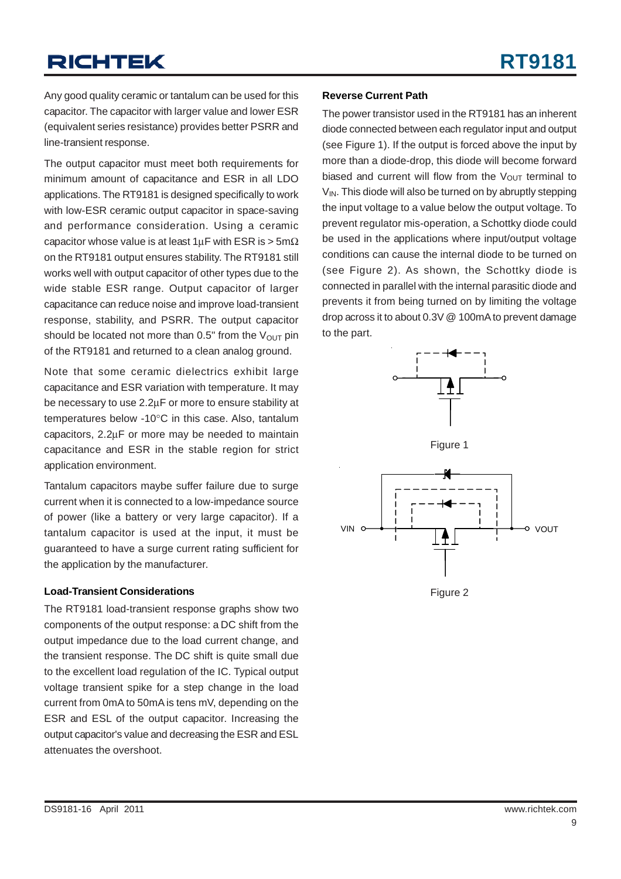Any good quality ceramic or tantalum can be used for this capacitor. The capacitor with larger value and lower ESR (equivalent series resistance) provides better PSRR and line-transient response.

The output capacitor must meet both requirements for minimum amount of capacitance and ESR in all LDO applications. The RT9181 is designed specifically to work with low-ESR ceramic output capacitor in space-saving and performance consideration. Using a ceramic capacitor whose value is at least  $1\mu$ F with ESR is > 5m $\Omega$ on the RT9181 output ensures stability. The RT9181 still works well with output capacitor of other types due to the wide stable ESR range. Output capacitor of larger capacitance can reduce noise and improve load-transient response, stability, and PSRR. The output capacitor should be located not more than  $0.5$ " from the  $V_{\text{OUT}}$  pin of the RT9181 and returned to a clean analog ground.

Note that some ceramic dielectrics exhibit large capacitance and ESR variation with temperature. It may be necessary to use 2.2μF or more to ensure stability at temperatures below -10°C in this case. Also, tantalum capacitors, 2.2μF or more may be needed to maintain capacitance and ESR in the stable region for strict application environment.

Tantalum capacitors maybe suffer failure due to surge current when it is connected to a low-impedance source of power (like a battery or very large capacitor). If a tantalum capacitor is used at the input, it must be guaranteed to have a surge current rating sufficient for the application by the manufacturer.

#### **Load-Transient Considerations**

The RT9181 load-transient response graphs show two components of the output response: a DC shift from the output impedance due to the load current change, and the transient response. The DC shift is quite small due to the excellent load regulation of the IC. Typical output voltage transient spike for a step change in the load current from 0mA to 50mA is tens mV, depending on the ESR and ESL of the output capacitor. Increasing the output capacitor's value and decreasing the ESR and ESL attenuates the overshoot.

#### **Reverse Current Path**

The power transistor used in the RT9181 has an inherent diode connected between each regulator input and output (see Figure 1). If the output is forced above the input by more than a diode-drop, this diode will become forward biased and current will flow from the  $V_{\text{OUT}}$  terminal to  $V_{\text{IN}}$ . This diode will also be turned on by abruptly stepping the input voltage to a value below the output voltage. To prevent regulator mis-operation, a Schottky diode could be used in the applications where input/output voltage conditions can cause the internal diode to be turned on (see Figure 2). As shown, the Schottky diode is connected in parallel with the internal parasitic diode and prevents it from being turned on by limiting the voltage drop across it to about 0.3V @ 100mA to prevent damage to the part.







Figure 2